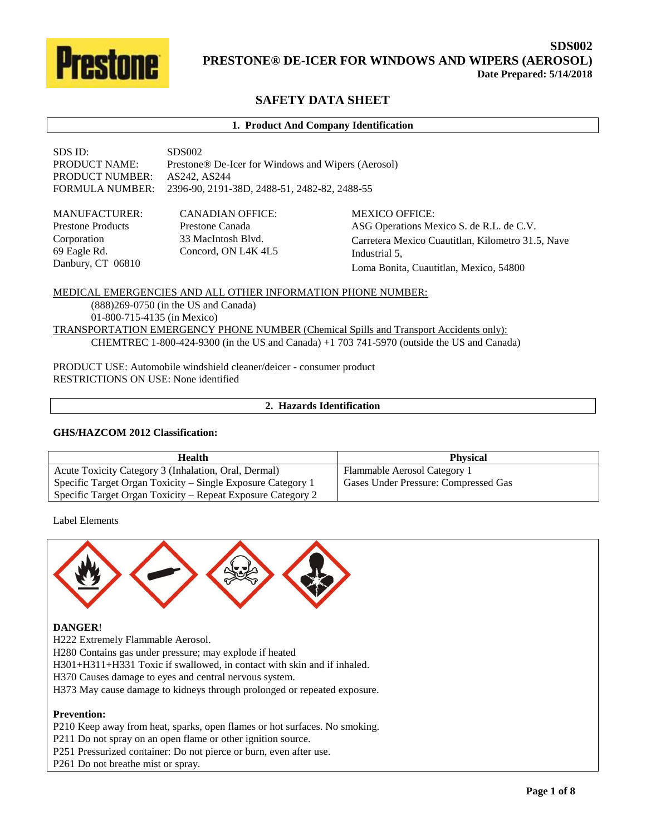

# **SAFETY DATA SHEET**

#### **1. Product And Company Identification**

| SDS ID:              | SDS002                                                         |
|----------------------|----------------------------------------------------------------|
| <b>PRODUCT NAME:</b> | Prestone <sup>®</sup> De-Icer for Windows and Wipers (Aerosol) |
| PRODUCT NUMBER:      | AS242, AS244                                                   |
|                      | FORMULA NUMBER: 2396-90, 2191-38D, 2488-51, 2482-82, 2488-55   |
|                      |                                                                |

MANUFACTURER: Prestone Products Corporation 69 Eagle Rd. Danbury, CT 06810

CANADIAN OFFICE: Prestone Canada 33 MacIntosh Blvd. Concord, ON L4K 4L5 MEXICO OFFICE: ASG Operations Mexico S. de R.L. de C.V. Carretera Mexico Cuautitlan, Kilometro 31.5, Nave Industrial 5, Loma Bonita, Cuautitlan, Mexico, 54800

MEDICAL EMERGENCIES AND ALL OTHER INFORMATION PHONE NUMBER: (888)269-0750 (in the US and Canada) 01-800-715-4135 (in Mexico) TRANSPORTATION EMERGENCY PHONE NUMBER (Chemical Spills and Transport Accidents only): CHEMTREC 1-800-424-9300 (in the US and Canada) +1 703 741-5970 (outside the US and Canada)

PRODUCT USE: Automobile windshield cleaner/deicer - consumer product RESTRICTIONS ON USE: None identified

# **2. Hazards Identification**

#### **GHS/HAZCOM 2012 Classification:**

| <b>Health</b>                                               | <b>Physical</b>                      |
|-------------------------------------------------------------|--------------------------------------|
| Acute Toxicity Category 3 (Inhalation, Oral, Dermal)        | Flammable Aerosol Category 1         |
| Specific Target Organ Toxicity – Single Exposure Category 1 | Gases Under Pressure: Compressed Gas |
| Specific Target Organ Toxicity – Repeat Exposure Category 2 |                                      |

Label Elements



## **DANGER**!

H222 Extremely Flammable Aerosol.

H280 Contains gas under pressure; may explode if heated

H301+H311+H331 Toxic if swallowed, in contact with skin and if inhaled.

H370 Causes damage to eyes and central nervous system.

H373 May cause damage to kidneys through prolonged or repeated exposure.

#### **Prevention:**

P210 Keep away from heat, sparks, open flames or hot surfaces. No smoking.

P211 Do not spray on an open flame or other ignition source.

P251 Pressurized container: Do not pierce or burn, even after use.

P261 Do not breathe mist or spray.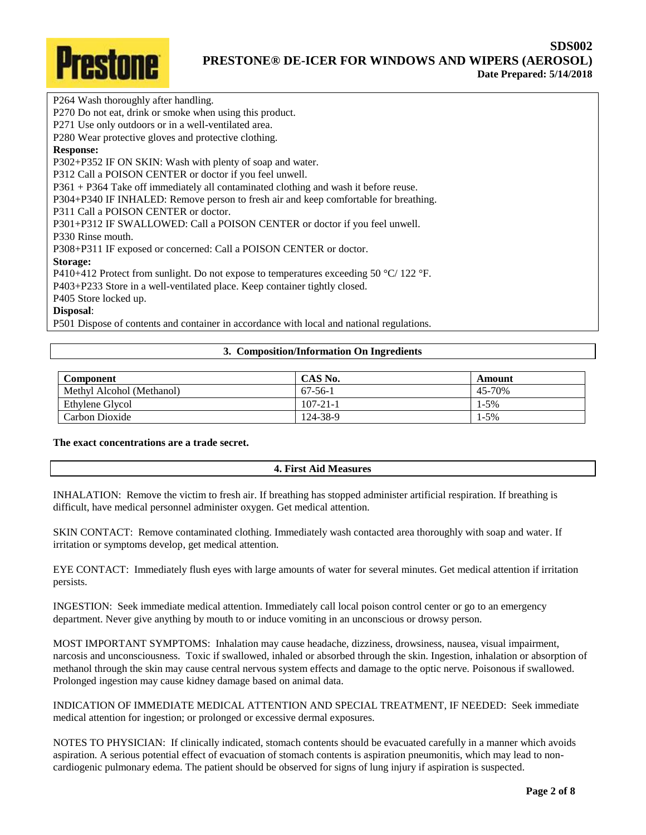

P264 Wash thoroughly after handling.

P270 Do not eat, drink or smoke when using this product.

P271 Use only outdoors or in a well-ventilated area.

P280 Wear protective gloves and protective clothing.

## **Response:**

P302+P352 IF ON SKIN: Wash with plenty of soap and water.

P312 Call a POISON CENTER or doctor if you feel unwell.

P361 + P364 Take off immediately all contaminated clothing and wash it before reuse.

P304+P340 IF INHALED: Remove person to fresh air and keep comfortable for breathing.

P311 Call a POISON CENTER or doctor.

P301+P312 IF SWALLOWED: Call a POISON CENTER or doctor if you feel unwell.

P330 Rinse mouth.

P308+P311 IF exposed or concerned: Call a POISON CENTER or doctor.

### **Storage:**

P410+412 Protect from sunlight. Do not expose to temperatures exceeding 50 °C/ 122 °F.

P403+P233 Store in a well-ventilated place. Keep container tightly closed.

P405 Store locked up.

## **Disposal**:

P501 Dispose of contents and container in accordance with local and national regulations.

## **3. Composition/Information On Ingredients**

| Component                 | CAS No.        | Amount    |
|---------------------------|----------------|-----------|
| Methyl Alcohol (Methanol) | $67-56-1$      | 45-70%    |
| Ethylene Glycol           | $107 - 21 - 1$ | $1-5%$    |
| Carbon Dioxide            | 124-38-9       | $1 - 5\%$ |

**The exact concentrations are a trade secret.**

# **4. First Aid Measures**

INHALATION: Remove the victim to fresh air. If breathing has stopped administer artificial respiration. If breathing is difficult, have medical personnel administer oxygen. Get medical attention.

SKIN CONTACT: Remove contaminated clothing. Immediately wash contacted area thoroughly with soap and water. If irritation or symptoms develop, get medical attention.

EYE CONTACT: Immediately flush eyes with large amounts of water for several minutes. Get medical attention if irritation persists.

INGESTION: Seek immediate medical attention. Immediately call local poison control center or go to an emergency department. Never give anything by mouth to or induce vomiting in an unconscious or drowsy person.

MOST IMPORTANT SYMPTOMS: Inhalation may cause headache, dizziness, drowsiness, nausea, visual impairment, narcosis and unconsciousness. Toxic if swallowed, inhaled or absorbed through the skin. Ingestion, inhalation or absorption of methanol through the skin may cause central nervous system effects and damage to the optic nerve. Poisonous if swallowed. Prolonged ingestion may cause kidney damage based on animal data.

INDICATION OF IMMEDIATE MEDICAL ATTENTION AND SPECIAL TREATMENT, IF NEEDED: Seek immediate medical attention for ingestion; or prolonged or excessive dermal exposures.

NOTES TO PHYSICIAN: If clinically indicated, stomach contents should be evacuated carefully in a manner which avoids aspiration. A serious potential effect of evacuation of stomach contents is aspiration pneumonitis, which may lead to noncardiogenic pulmonary edema. The patient should be observed for signs of lung injury if aspiration is suspected.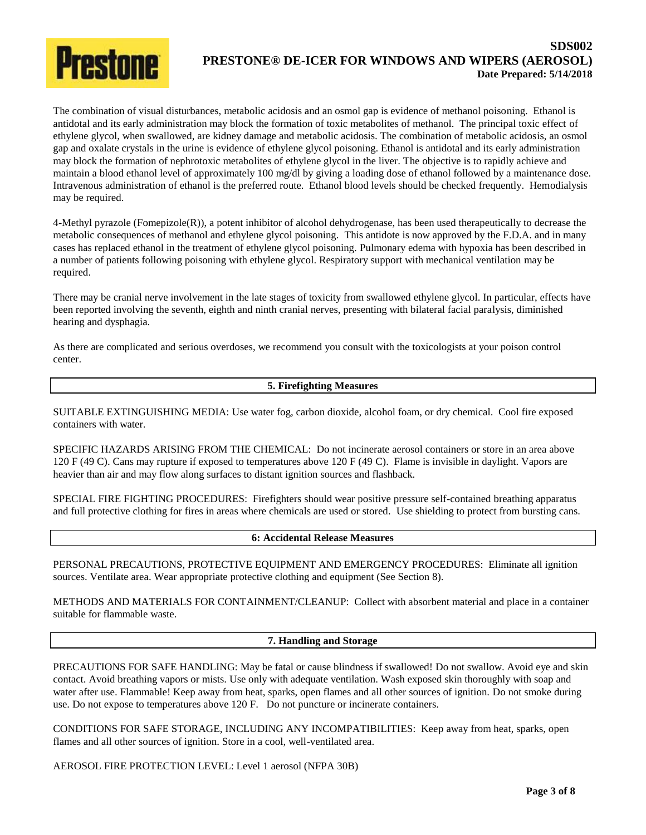

The combination of visual disturbances, metabolic acidosis and an osmol gap is evidence of methanol poisoning. Ethanol is antidotal and its early administration may block the formation of toxic metabolites of methanol. The principal toxic effect of ethylene glycol, when swallowed, are kidney damage and metabolic acidosis. The combination of metabolic acidosis, an osmol gap and oxalate crystals in the urine is evidence of ethylene glycol poisoning. Ethanol is antidotal and its early administration may block the formation of nephrotoxic metabolites of ethylene glycol in the liver. The objective is to rapidly achieve and maintain a blood ethanol level of approximately 100 mg/dl by giving a loading dose of ethanol followed by a maintenance dose. Intravenous administration of ethanol is the preferred route. Ethanol blood levels should be checked frequently. Hemodialysis may be required.

4-Methyl pyrazole (Fomepizole(R)), a potent inhibitor of alcohol dehydrogenase, has been used therapeutically to decrease the metabolic consequences of methanol and ethylene glycol poisoning. This antidote is now approved by the F.D.A. and in many cases has replaced ethanol in the treatment of ethylene glycol poisoning. Pulmonary edema with hypoxia has been described in a number of patients following poisoning with ethylene glycol. Respiratory support with mechanical ventilation may be required.

There may be cranial nerve involvement in the late stages of toxicity from swallowed ethylene glycol. In particular, effects have been reported involving the seventh, eighth and ninth cranial nerves, presenting with bilateral facial paralysis, diminished hearing and dysphagia.

As there are complicated and serious overdoses, we recommend you consult with the toxicologists at your poison control center.

## **5. Firefighting Measures**

SUITABLE EXTINGUISHING MEDIA: Use water fog, carbon dioxide, alcohol foam, or dry chemical. Cool fire exposed containers with water.

SPECIFIC HAZARDS ARISING FROM THE CHEMICAL: Do not incinerate aerosol containers or store in an area above 120 F (49 C). Cans may rupture if exposed to temperatures above 120 F (49 C). Flame is invisible in daylight. Vapors are heavier than air and may flow along surfaces to distant ignition sources and flashback.

SPECIAL FIRE FIGHTING PROCEDURES: Firefighters should wear positive pressure self-contained breathing apparatus and full protective clothing for fires in areas where chemicals are used or stored. Use shielding to protect from bursting cans.

## **6: Accidental Release Measures**

PERSONAL PRECAUTIONS, PROTECTIVE EQUIPMENT AND EMERGENCY PROCEDURES: Eliminate all ignition sources. Ventilate area. Wear appropriate protective clothing and equipment (See Section 8).

METHODS AND MATERIALS FOR CONTAINMENT/CLEANUP: Collect with absorbent material and place in a container suitable for flammable waste.

## **7. Handling and Storage**

PRECAUTIONS FOR SAFE HANDLING: May be fatal or cause blindness if swallowed! Do not swallow. Avoid eye and skin contact. Avoid breathing vapors or mists. Use only with adequate ventilation. Wash exposed skin thoroughly with soap and water after use. Flammable! Keep away from heat, sparks, open flames and all other sources of ignition. Do not smoke during use. Do not expose to temperatures above 120 F. Do not puncture or incinerate containers.

CONDITIONS FOR SAFE STORAGE, INCLUDING ANY INCOMPATIBILITIES: Keep away from heat, sparks, open flames and all other sources of ignition. Store in a cool, well-ventilated area.

AEROSOL FIRE PROTECTION LEVEL: Level 1 aerosol (NFPA 30B)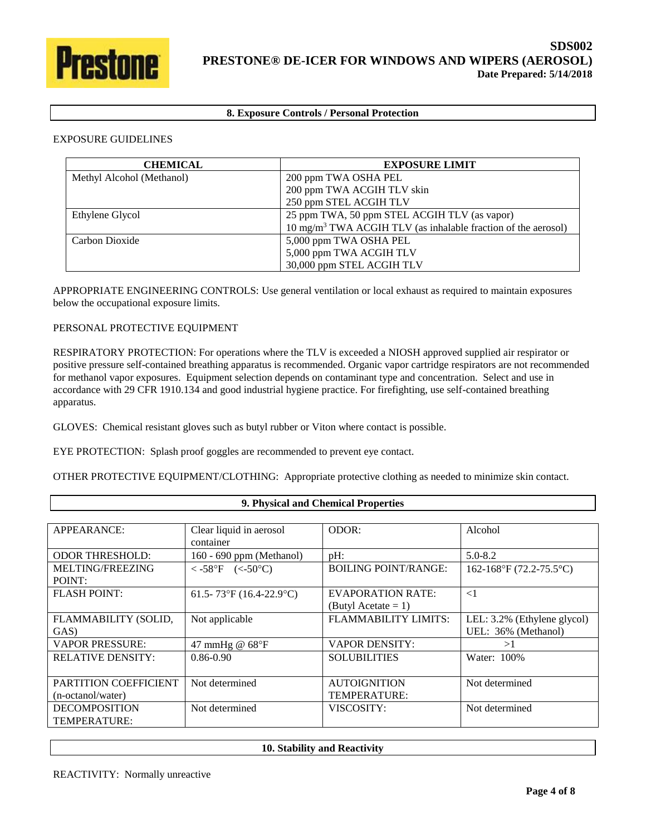

# **8. Exposure Controls / Personal Protection**

### EXPOSURE GUIDELINES

| <b>CHEMICAL</b>           | <b>EXPOSURE LIMIT</b>                                                     |  |
|---------------------------|---------------------------------------------------------------------------|--|
| Methyl Alcohol (Methanol) | 200 ppm TWA OSHA PEL                                                      |  |
|                           | 200 ppm TWA ACGIH TLV skin                                                |  |
|                           | 250 ppm STEL ACGIH TLV                                                    |  |
| Ethylene Glycol           | 25 ppm TWA, 50 ppm STEL ACGIH TLV (as vapor)                              |  |
|                           | 10 mg/m <sup>3</sup> TWA ACGIH TLV (as inhalable fraction of the aerosol) |  |
| Carbon Dioxide            | 5,000 ppm TWA OSHA PEL                                                    |  |
|                           | 5,000 ppm TWA ACGIH TLV                                                   |  |
|                           | 30,000 ppm STEL ACGIH TLV                                                 |  |

APPROPRIATE ENGINEERING CONTROLS: Use general ventilation or local exhaust as required to maintain exposures below the occupational exposure limits.

### PERSONAL PROTECTIVE EQUIPMENT

Г

RESPIRATORY PROTECTION: For operations where the TLV is exceeded a NIOSH approved supplied air respirator or positive pressure self-contained breathing apparatus is recommended. Organic vapor cartridge respirators are not recommended for methanol vapor exposures. Equipment selection depends on contaminant type and concentration. Select and use in accordance with 29 CFR 1910.134 and good industrial hygiene practice. For firefighting, use self-contained breathing apparatus.

GLOVES: Chemical resistant gloves such as butyl rubber or Viton where contact is possible.

EYE PROTECTION: Splash proof goggles are recommended to prevent eye contact.

OTHER PROTECTIVE EQUIPMENT/CLOTHING: Appropriate protective clothing as needed to minimize skin contact.

| 9. Physical and Chemical Properties |                             |                             |  |
|-------------------------------------|-----------------------------|-----------------------------|--|
|                                     |                             |                             |  |
| Clear liquid in aerosol             | ODOR:                       | Alcohol                     |  |
| container                           |                             |                             |  |
| 160 - 690 ppm (Methanol)            | $pH$ :                      | $5.0 - 8.2$                 |  |
| <-58°F (<-50°C)                     | <b>BOILING POINT/RANGE:</b> | 162-168°F (72.2-75.5°C)     |  |
|                                     |                             |                             |  |
| 61.5-73°F (16.4-22.9°C)             | <b>EVAPORATION RATE:</b>    | $\leq$ 1                    |  |
|                                     | (Butyl Acetate $= 1$ )      |                             |  |
| Not applicable                      | <b>FLAMMABILITY LIMITS:</b> | LEL: 3.2% (Ethylene glycol) |  |
|                                     |                             | UEL: 36% (Methanol)         |  |
| 47 mmHg $@$ 68°F                    | <b>VAPOR DENSITY:</b>       | >1                          |  |
| $0.86 - 0.90$                       | <b>SOLUBILITIES</b>         | Water: 100%                 |  |
|                                     |                             |                             |  |
| Not determined                      | <b>AUTOIGNITION</b>         | Not determined              |  |
|                                     | <b>TEMPERATURE:</b>         |                             |  |
| Not determined                      | VISCOSITY:                  | Not determined              |  |
|                                     |                             |                             |  |
|                                     |                             |                             |  |

**10. Stability and Reactivity**

٦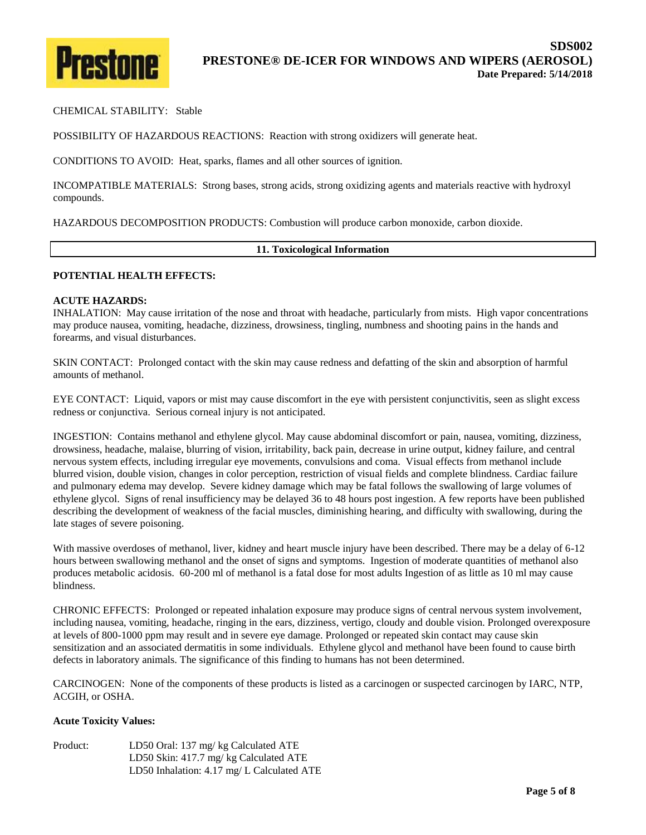

### CHEMICAL STABILITY: Stable

POSSIBILITY OF HAZARDOUS REACTIONS: Reaction with strong oxidizers will generate heat.

CONDITIONS TO AVOID: Heat, sparks, flames and all other sources of ignition.

INCOMPATIBLE MATERIALS: Strong bases, strong acids, strong oxidizing agents and materials reactive with hydroxyl compounds.

HAZARDOUS DECOMPOSITION PRODUCTS: Combustion will produce carbon monoxide, carbon dioxide.

#### **11. Toxicological Information**

#### **POTENTIAL HEALTH EFFECTS:**

#### **ACUTE HAZARDS:**

INHALATION: May cause irritation of the nose and throat with headache, particularly from mists. High vapor concentrations may produce nausea, vomiting, headache, dizziness, drowsiness, tingling, numbness and shooting pains in the hands and forearms, and visual disturbances.

SKIN CONTACT: Prolonged contact with the skin may cause redness and defatting of the skin and absorption of harmful amounts of methanol.

EYE CONTACT: Liquid, vapors or mist may cause discomfort in the eye with persistent conjunctivitis, seen as slight excess redness or conjunctiva. Serious corneal injury is not anticipated.

INGESTION: Contains methanol and ethylene glycol. May cause abdominal discomfort or pain, nausea, vomiting, dizziness, drowsiness, headache, malaise, blurring of vision, irritability, back pain, decrease in urine output, kidney failure, and central nervous system effects, including irregular eye movements, convulsions and coma. Visual effects from methanol include blurred vision, double vision, changes in color perception, restriction of visual fields and complete blindness. Cardiac failure and pulmonary edema may develop. Severe kidney damage which may be fatal follows the swallowing of large volumes of ethylene glycol. Signs of renal insufficiency may be delayed 36 to 48 hours post ingestion. A few reports have been published describing the development of weakness of the facial muscles, diminishing hearing, and difficulty with swallowing, during the late stages of severe poisoning.

With massive overdoses of methanol, liver, kidney and heart muscle injury have been described. There may be a delay of 6-12 hours between swallowing methanol and the onset of signs and symptoms. Ingestion of moderate quantities of methanol also produces metabolic acidosis. 60-200 ml of methanol is a fatal dose for most adults Ingestion of as little as 10 ml may cause blindness.

CHRONIC EFFECTS: Prolonged or repeated inhalation exposure may produce signs of central nervous system involvement, including nausea, vomiting, headache, ringing in the ears, dizziness, vertigo, cloudy and double vision. Prolonged overexposure at levels of 800-1000 ppm may result and in severe eye damage. Prolonged or repeated skin contact may cause skin sensitization and an associated dermatitis in some individuals. Ethylene glycol and methanol have been found to cause birth defects in laboratory animals. The significance of this finding to humans has not been determined.

CARCINOGEN: None of the components of these products is listed as a carcinogen or suspected carcinogen by IARC, NTP, ACGIH, or OSHA.

#### **Acute Toxicity Values:**

| Product: | LD50 Oral: 137 mg/ kg Calculated ATE                |
|----------|-----------------------------------------------------|
|          | LD50 Skin: 417.7 mg/ kg Calculated ATE              |
|          | LD50 Inhalation: $4.17 \text{ mg/L}$ Calculated ATE |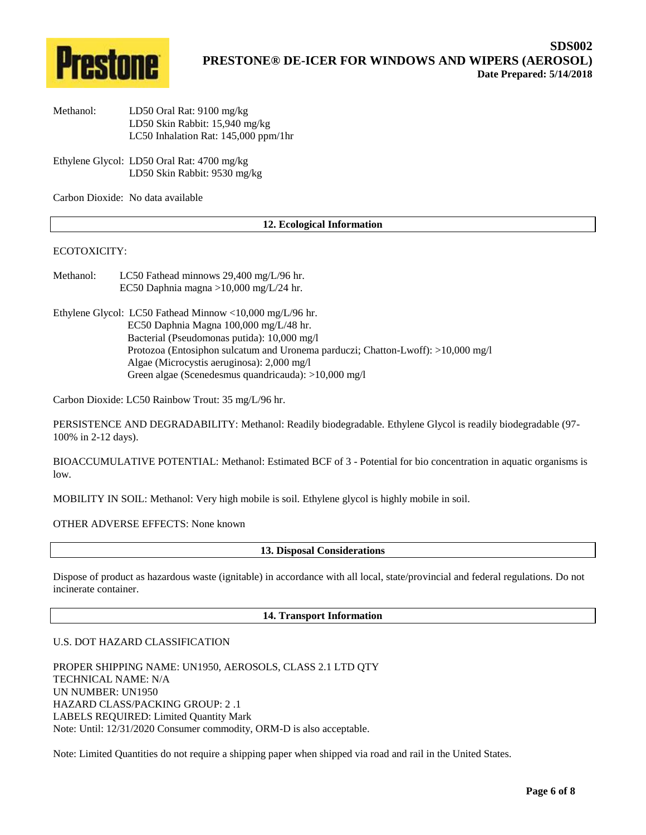

- Methanol: LD50 Oral Rat: 9100 mg/kg LD50 Skin Rabbit: 15,940 mg/kg LC50 Inhalation Rat: 145,000 ppm/1hr
- Ethylene Glycol: LD50 Oral Rat: 4700 mg/kg LD50 Skin Rabbit: 9530 mg/kg

Carbon Dioxide: No data available

### **12. Ecological Information**

### ECOTOXICITY:

- Methanol: LC50 Fathead minnows 29,400 mg/L/96 hr. EC50 Daphnia magna >10,000 mg/L/24 hr.
- Ethylene Glycol: LC50 Fathead Minnow <10,000 mg/L/96 hr. EC50 Daphnia Magna 100,000 mg/L/48 hr. Bacterial (Pseudomonas putida): 10,000 mg/l Protozoa (Entosiphon sulcatum and Uronema parduczi; Chatton-Lwoff): >10,000 mg/l Algae (Microcystis aeruginosa): 2,000 mg/l Green algae (Scenedesmus quandricauda): >10,000 mg/l

Carbon Dioxide: LC50 Rainbow Trout: 35 mg/L/96 hr.

PERSISTENCE AND DEGRADABILITY: Methanol: Readily biodegradable. Ethylene Glycol is readily biodegradable (97- 100% in 2-12 days).

BIOACCUMULATIVE POTENTIAL: Methanol: Estimated BCF of 3 - Potential for bio concentration in aquatic organisms is low.

MOBILITY IN SOIL: Methanol: Very high mobile is soil. Ethylene glycol is highly mobile in soil.

OTHER ADVERSE EFFECTS: None known

**13. Disposal Considerations**

Dispose of product as hazardous waste (ignitable) in accordance with all local, state/provincial and federal regulations. Do not incinerate container.

**14. Transport Information**

#### U.S. DOT HAZARD CLASSIFICATION

PROPER SHIPPING NAME: UN1950, AEROSOLS, CLASS 2.1 LTD QTY TECHNICAL NAME: N/A UN NUMBER: UN1950 HAZARD CLASS/PACKING GROUP: 2 .1 LABELS REQUIRED: Limited Quantity Mark Note: Until: 12/31/2020 Consumer commodity, ORM-D is also acceptable.

Note: Limited Quantities do not require a shipping paper when shipped via road and rail in the United States.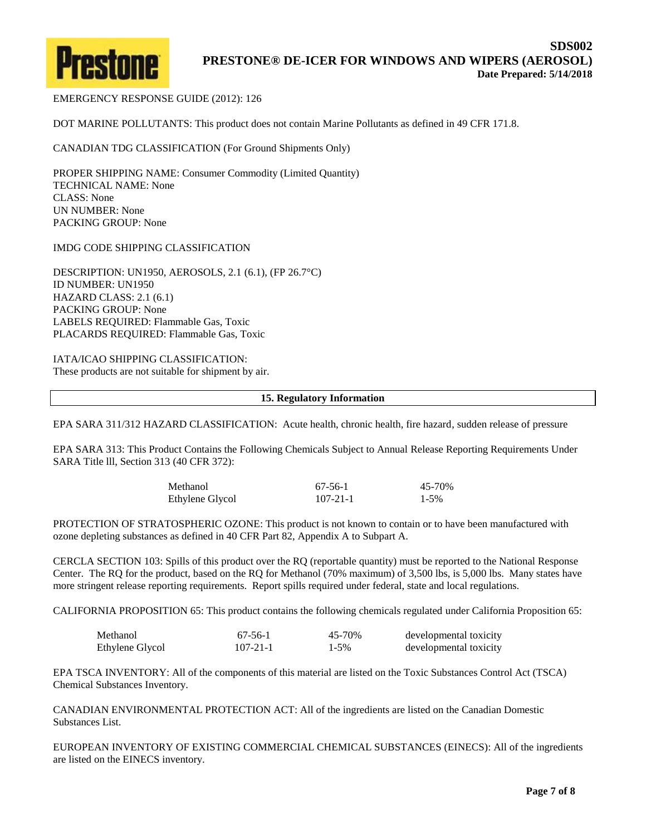

EMERGENCY RESPONSE GUIDE (2012): 126

DOT MARINE POLLUTANTS: This product does not contain Marine Pollutants as defined in 49 CFR 171.8.

CANADIAN TDG CLASSIFICATION (For Ground Shipments Only)

PROPER SHIPPING NAME: Consumer Commodity (Limited Quantity) TECHNICAL NAME: None CLASS: None UN NUMBER: None PACKING GROUP: None

IMDG CODE SHIPPING CLASSIFICATION

DESCRIPTION: UN1950, AEROSOLS, 2.1 (6.1), (FP 26.7°C) ID NUMBER: UN1950 HAZARD CLASS: 2.1 (6.1) PACKING GROUP: None LABELS REQUIRED: Flammable Gas, Toxic PLACARDS REQUIRED: Flammable Gas, Toxic

IATA/ICAO SHIPPING CLASSIFICATION: These products are not suitable for shipment by air.

**15. Regulatory Information**

EPA SARA 311/312 HAZARD CLASSIFICATION: Acute health, chronic health, fire hazard, sudden release of pressure

EPA SARA 313: This Product Contains the Following Chemicals Subject to Annual Release Reporting Requirements Under SARA Title lll, Section 313 (40 CFR 372):

| Methanol        | $67-56-1$      | 45-70%    |
|-----------------|----------------|-----------|
| Ethylene Glycol | $107 - 21 - 1$ | $1 - 5\%$ |

PROTECTION OF STRATOSPHERIC OZONE: This product is not known to contain or to have been manufactured with ozone depleting substances as defined in 40 CFR Part 82, Appendix A to Subpart A.

CERCLA SECTION 103: Spills of this product over the RQ (reportable quantity) must be reported to the National Response Center. The RQ for the product, based on the RQ for Methanol (70% maximum) of 3,500 lbs, is 5,000 lbs. Many states have more stringent release reporting requirements. Report spills required under federal, state and local regulations.

CALIFORNIA PROPOSITION 65: This product contains the following chemicals regulated under California Proposition 65:

| Methanol        | 67-56-1        | 45-70%    | developmental toxicity |
|-----------------|----------------|-----------|------------------------|
| Ethylene Glycol | $107 - 21 - 1$ | $1 - 5\%$ | developmental toxicity |

EPA TSCA INVENTORY: All of the components of this material are listed on the Toxic Substances Control Act (TSCA) Chemical Substances Inventory.

CANADIAN ENVIRONMENTAL PROTECTION ACT: All of the ingredients are listed on the Canadian Domestic Substances List.

EUROPEAN INVENTORY OF EXISTING COMMERCIAL CHEMICAL SUBSTANCES (EINECS): All of the ingredients are listed on the EINECS inventory.